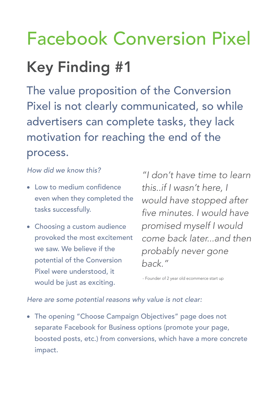## Facebook Conversion Pixel Key Finding #1

The value proposition of the Conversion Pixel is not clearly communicated, so while advertisers can complete tasks, they lack motivation for reaching the end of the process.

## *How did we know this?*

- Low to medium confidence even when they completed the tasks successfully.
- Choosing a custom audience provoked the most excitement we saw. We believe if the potential of the Conversion Pixel were understood, it would be just as exciting.

*"I don't have time to learn this..if I wasn't here, I would have stopped after five minutes. I would have promised myself I would come back later...and then probably never gone back."*

- Founder of 2 year old ecommerce start up

## *Here are some potential reasons why value is not clear:*

• The opening "Choose Campaign Objectives" page does not separate Facebook for Business options (promote your page, boosted posts, etc.) from conversions, which have a more concrete impact.